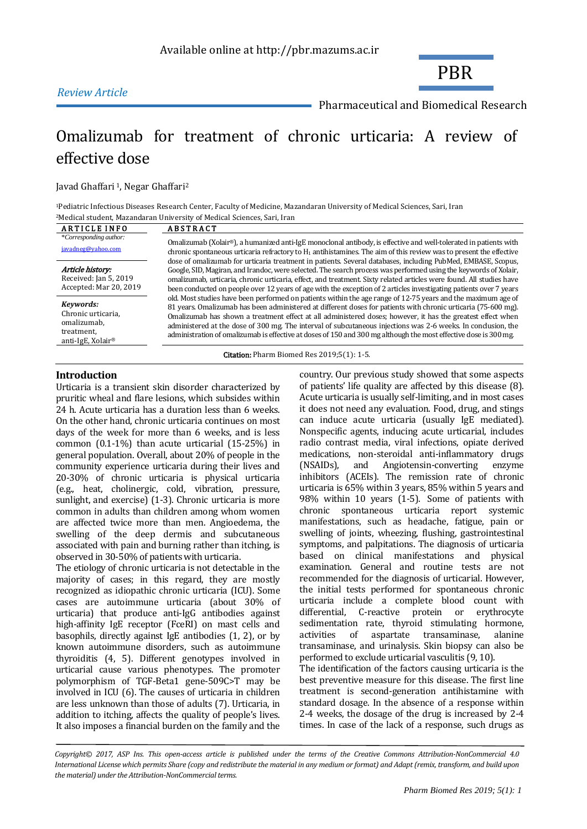## *Review Article*

Pharmaceutical and Biomedical Research

PBR

# [Omalizumab for treatment of chronic urticaria:](http://pbr.mazums.ac.ir/article-1-218-en.html) A review of effective dose

Javad Ghaffari<sup>1</sup>, Negar Ghaffari<sup>2</sup>

<sup>1</sup>Pediatric Infectious Diseases Research Center, Faculty of Medicine, Mazandaran University of Medical Sciences, Sari, Iran <sup>2</sup>Medical student, Mazandaran University of Medical Sciences, Sari, Iran

| <b>ARTICLE INFO</b>                                                                           | <b>ABSTRACT</b>                                                                                                                                                                                                                                                                                                                                                                                                                                                                                                                                                                                                                                                                                                                                                                                                                                                                                                                                     |  |  |  |
|-----------------------------------------------------------------------------------------------|-----------------------------------------------------------------------------------------------------------------------------------------------------------------------------------------------------------------------------------------------------------------------------------------------------------------------------------------------------------------------------------------------------------------------------------------------------------------------------------------------------------------------------------------------------------------------------------------------------------------------------------------------------------------------------------------------------------------------------------------------------------------------------------------------------------------------------------------------------------------------------------------------------------------------------------------------------|--|--|--|
| *Corresponding author:<br>javadneg@yahoo.com                                                  | Omalizumab (Xolair®), a humanized anti-IgE monoclonal antibody, is effective and well-tolerated in patients with<br>chronic spontaneous urticaria refractory to $H_1$ antihistamines. The aim of this review was to present the effective                                                                                                                                                                                                                                                                                                                                                                                                                                                                                                                                                                                                                                                                                                           |  |  |  |
| Article history:<br>Received: Jan 5, 2019<br>Accepted: Mar 20, 2019                           | dose of omalizumab for urticaria treatment in patients. Several databases, including PubMed, EMBASE, Scopus,<br>Google, SID, Magiran, and Irandoc, were selected. The search process was performed using the keywords of Xolair,<br>omalizumab, urticaria, chronic urticaria, effect, and treatment. Sixty related articles were found. All studies have<br>been conducted on people over 12 years of age with the exception of 2 articles investigating patients over 7 years<br>old. Most studies have been performed on patients within the age range of 12-75 years and the maximum age of<br>81 years. Omalizumab has been administered at different doses for patients with chronic urticaria (75-600 mg).<br>Omalizumab has shown a treatment effect at all administered doses; however, it has the greatest effect when<br>administration of omalizumab is effective at doses of 150 and 300 mg although the most effective dose is 300 mg. |  |  |  |
| Kevwords:<br>Chronic urticaria,<br>omalizumab,<br>treatment,<br>anti-IgE, Xolair <sup>®</sup> |                                                                                                                                                                                                                                                                                                                                                                                                                                                                                                                                                                                                                                                                                                                                                                                                                                                                                                                                                     |  |  |  |
|                                                                                               | administered at the dose of 300 mg. The interval of subcutaneous injections was 2-6 weeks. In conclusion, the                                                                                                                                                                                                                                                                                                                                                                                                                                                                                                                                                                                                                                                                                                                                                                                                                                       |  |  |  |

Citation: Pharm Biomed Res 2019;5(1): 1-5.

#### **Introduction**

Urticaria is a transient skin disorder characterized by pruritic wheal and flare lesions, which subsides within 24 h. Acute urticaria has a duration less than 6 weeks. On the other hand, chronic urticaria continues on most days of the week for more than 6 weeks, and is less common (0.1-1%) than acute urticarial (15-25%) in general population. Overall, about 20% of people in the community experience urticaria during their lives and 20-30% of chronic urticaria is physical urticaria (e.g., heat, cholinergic, cold, vibration, pressure, sunlight, and exercise) (1-3). Chronic urticaria is more common in adults than children among whom women are affected twice more than men. Angioedema, the swelling of the deep dermis and subcutaneous associated with pain and burning rather than itching, is observed in 30-50% of patients with urticaria.

The etiology of chronic urticaria is not detectable in the majority of cases; in this regard, they are mostly recognized as idiopathic chronic urticaria (ICU). Some cases are autoimmune urticaria (about 30% of urticaria) that produce anti-IgG antibodies against high-affinity IgE receptor (FceRI) on mast cells and basophils, directly against IgE antibodies (1, 2), or by known autoimmune disorders, such as autoimmune thyroiditis (4, 5). Different genotypes involved in urticarial cause various phenotypes. The promoter polymorphism of TGF-Beta1 gene-509C>T may be involved in ICU (6). The causes of urticaria in children are less unknown than those of adults (7). Urticaria, in addition to itching, affects the quality of people's lives. It also imposes a financial burden on the family and the country. Our previous study showed that some aspects of patients' life quality are affected by this disease (8). Acute urticaria is usually self-limiting, and in most cases it does not need any evaluation. Food, drug, and stings can induce acute urticaria (usually IgE mediated). Nonspecific agents, inducing acute urticarial, includes radio contrast media, viral infections, opiate derived medications, non-steroidal anti-inflammatory drugs (NSAIDs), and Angiotensin-converting enzyme inhibitors (ACEIs). The remission rate of chronic urticaria is 65% within 3 years, 85% within 5 years and 98% within 10 years (1-5). Some of patients with chronic spontaneous urticaria report systemic manifestations, such as headache, fatigue, pain or swelling of joints, wheezing, flushing, gastrointestinal symptoms, and palpitations. The diagnosis of urticaria based on clinical manifestations and physical examination. General and routine tests are not recommended for the diagnosis of urticarial. However, the initial tests performed for spontaneous chronic urticaria include a complete blood count with differential, C-reactive protein or erythrocyte sedimentation rate, thyroid stimulating hormone, activities of aspartate transaminase, alanine transaminase, and urinalysis. Skin biopsy can also be performed to exclude urticarial vasculitis (9, 10). The identification of the factors causing urticaria is the best preventive measure for this disease. The first line

treatment is second-generation antihistamine with standard dosage. In the absence of a response within 2-4 weeks, the dosage of the drug is increased by 2-4 times. In case of the lack of a response, such drugs as

*Copyright© 2017, ASP Ins. This open-access article is published under the terms of the Creative Commons Attribution-NonCommercial 4.0 International License which permits Share (copy and redistribute the material in any medium or format) and Adapt (remix, transform, and build upon the material) under the Attribution-NonCommercial terms.*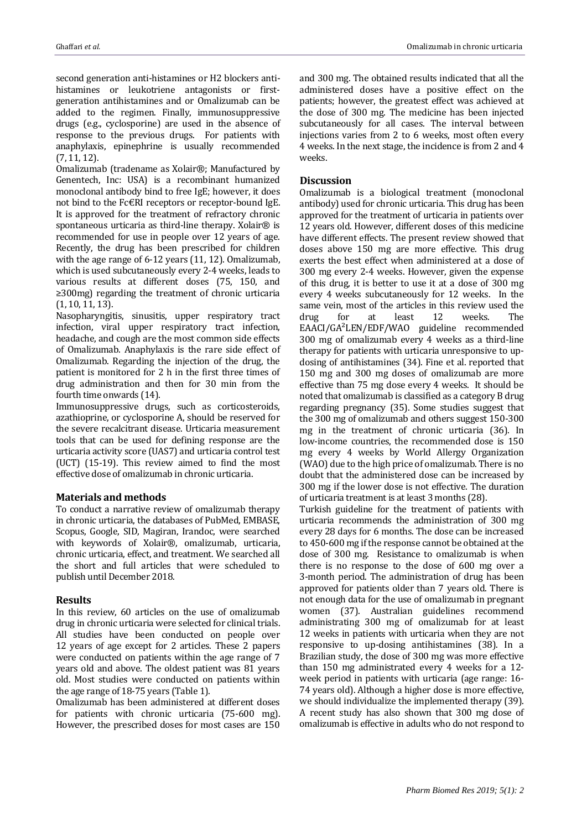second generation anti-histamines or H2 blockers antihistamines or leukotriene antagonists or firstgeneration antihistamines and or Omalizumab can be added to the regimen. Finally, immunosuppressive drugs (e.g., cyclosporine) are used in the absence of response to the previous drugs. For patients with anaphylaxis, epinephrine is usually recommended (7, 11, 12).

Omalizumab (tradename as Xolair®; Manufactured by Genentech, Inc: USA) is a recombinant humanized monoclonal antibody bind to free IgE; however, it does not bind to the Fc€RI receptors or receptor-bound IgE. It is approved for the treatment of refractory chronic spontaneous urticaria as third-line therapy. Xolair<sup>®</sup> is recommended for use in people over 12 years of age. Recently, the drug has been prescribed for children with the age range of 6-12 years (11, 12). Omalizumab, which is used subcutaneously every 2-4 weeks, leads to various results at different doses (75, 150, and ≥300mg) regarding the treatment of chronic urticaria (1, 10, 11, 13).

Nasopharyngitis, sinusitis, upper respiratory tract infection, viral upper respiratory tract infection, headache, and cough are the most common side effects of Omalizumab. Anaphylaxis is the rare side effect of Omalizumab. Regarding the injection of the drug, the patient is monitored for 2 h in the first three times of drug administration and then for 30 min from the fourth time onwards (14).

Immunosuppressive drugs, such as corticosteroids, azathioprine, or cyclosporine A, should be reserved for the severe recalcitrant disease. Urticaria measurement tools that can be used for defining response are the urticaria activity score (UAS7) and urticaria control test (UCT) (15-19). This review aimed to find the most effective dose of omalizumab in chronic urticaria.

#### **Materials and methods**

To conduct a narrative review of omalizumab therapy in chronic urticaria, the databases of PubMed, EMBASE, Scopus, Google, SID, Magiran, Irandoc, were searched with keywords of Xolair®, omalizumab, urticaria, chronic urticaria, effect, and treatment. We searched all the short and full articles that were scheduled to publish until December 2018.

#### **Results**

In this review, 60 articles on the use of omalizumab drug in chronic urticaria were selected for clinical trials. All studies have been conducted on people over 12 years of age except for 2 articles. These 2 papers were conducted on patients within the age range of 7 years old and above. The oldest patient was 81 years old. Most studies were conducted on patients within the age range of 18-75 years (Table 1).

Omalizumab has been administered at different doses for patients with chronic urticaria (75-600 mg). However, the prescribed doses for most cases are 150 and 300 mg. The obtained results indicated that all the administered doses have a positive effect on the patients; however, the greatest effect was achieved at the dose of 300 mg. The medicine has been injected subcutaneously for all cases. The interval between injections varies from 2 to 6 weeks, most often every 4 weeks. In the next stage, the incidence is from 2 and 4 weeks.

### **Discussion**

Omalizumab is a biological treatment (monoclonal antibody) used for chronic urticaria. This drug has been approved for the treatment of urticaria in patients over 12 years old. However, different doses of this medicine have different effects. The present review showed that doses above 150 mg are more effective. This drug exerts the best effect when administered at a dose of 300 mg every 2-4 weeks. However, given the expense of this drug, it is better to use it at a dose of 300 mg every 4 weeks subcutaneously for 12 weeks. In the same vein, most of the articles in this review used the drug for at least 12 weeks. The EAACI/GA²LEN/EDF/WAO guideline recommended 300 mg of omalizumab every 4 weeks as a third-line therapy for patients with urticaria unresponsive to updosing of antihistamines (34). Fine et al. reported that 150 mg and 300 mg doses of omalizumab are more effective than 75 mg dose every 4 weeks. It should be noted that omalizumab is classified as a category B drug regarding pregnancy (35). Some studies suggest that the 300 mg of omalizumab and others suggest 150-300 mg in the treatment of chronic urticaria (36). In low-income countries, the recommended dose is 150 mg every 4 weeks by World Allergy Organization (WAO) due to the high price of omalizumab. There is no doubt that the administered dose can be increased by 300 mg if the lower dose is not effective. The duration of urticaria treatment is at least 3 months (28).

Turkish guideline for the treatment of patients with urticaria recommends the administration of 300 mg every 28 days for 6 months. The dose can be increased to 450-600 mg if the response cannot be obtained at the dose of 300 mg. Resistance to omalizumab is when there is no response to the dose of 600 mg over a 3-month period. The administration of drug has been approved for patients older than 7 years old. There is not enough data for the use of omalizumab in pregnant women (37). Australian guidelines recommend administrating 300 mg of omalizumab for at least 12 weeks in patients with urticaria when they are not responsive to up-dosing antihistamines (38). In a Brazilian study, the dose of 300 mg was more effective than 150 mg administrated every 4 weeks for a 12 week period in patients with urticaria (age range: 16- 74 years old). Although a higher dose is more effective, we should individualize the implemented therapy (39). A recent study has also shown that 300 mg dose of omalizumab is effective in adults who do not respond to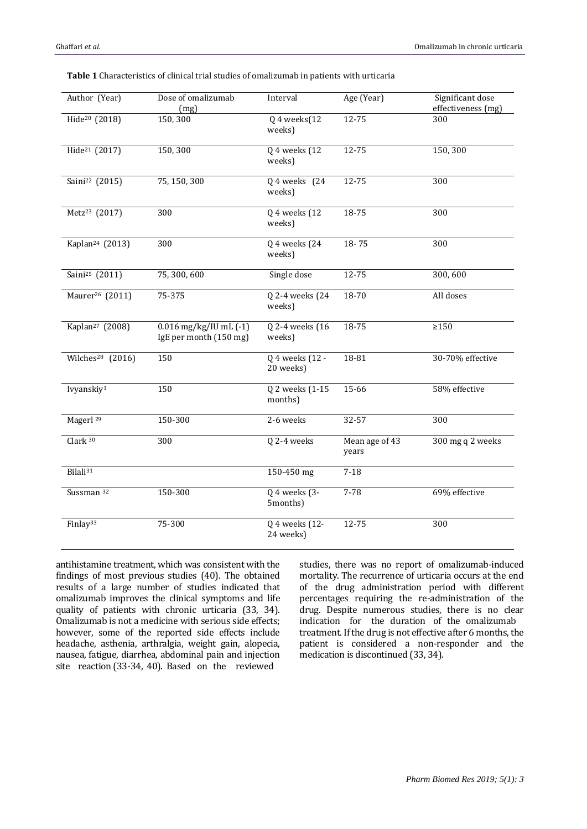| Author (Year)                | Dose of omalizumab<br>(mg)                           | Interval                     | Age (Year)              | Significant dose<br>effectiveness (mg) |
|------------------------------|------------------------------------------------------|------------------------------|-------------------------|----------------------------------------|
| Hide <sup>20</sup> (2018)    | 150,300                                              | Q 4 weeks(12<br>weeks)       | $12 - 75$               | 300                                    |
| Hide <sup>21</sup> (2017)    | 150,300                                              | Q 4 weeks (12<br>weeks)      | 12-75                   | 150,300                                |
| Saini <sup>22</sup> (2015)   | 75, 150, 300                                         | $Q$ 4 weeks $(24)$<br>weeks) | 12-75                   | 300                                    |
| Metz <sup>23</sup> (2017)    | 300                                                  | Q 4 weeks (12<br>weeks)      | 18-75                   | 300                                    |
| Kaplan <sup>24</sup> (2013)  | 300                                                  | Q 4 weeks (24<br>weeks)      | 18-75                   | 300                                    |
| Saini <sup>25</sup> (2011)   | 75,300,600                                           | Single dose                  | 12-75                   | 300,600                                |
| Maurer <sup>26</sup> (2011)  | 75-375                                               | Q 2-4 weeks (24<br>weeks)    | 18-70                   | All doses                              |
| Kaplan <sup>27</sup> (2008)  | $0.016$ mg/kg/IU mL $(-1)$<br>IgE per month (150 mg) | Q 2-4 weeks (16<br>weeks)    | 18-75                   | $\geq$ 150                             |
| Wilches <sup>28</sup> (2016) | 150                                                  | Q 4 weeks (12 -<br>20 weeks) | 18-81                   | 30-70% effective                       |
| Ivyanskiy <sup>1</sup>       | 150                                                  | Q 2 weeks (1-15<br>months)   | 15-66                   | 58% effective                          |
| Magerl <sup>29</sup>         | 150-300                                              | 2-6 weeks                    | 32-57                   | 300                                    |
| Clark <sup>30</sup>          | 300                                                  | Q 2-4 weeks                  | Mean age of 43<br>years | 300 mg q 2 weeks                       |
| Bilali <sup>31</sup>         |                                                      | 150-450 mg                   | $7 - 18$                |                                        |
| Sussman 32                   | 150-300                                              | Q 4 weeks (3-<br>5months)    | 7-78                    | 69% effective                          |
| Finlay <sup>33</sup>         | 75-300                                               | Q 4 weeks (12-<br>24 weeks)  | 12-75                   | 300                                    |

**Table 1** Characteristics of clinical trial studies of omalizumab in patients with urticaria

antihistamine treatment, which was consistent with the findings of most previous studies (40). The obtained results of a large number of studies indicated that omalizumab improves the clinical symptoms and life quality of patients with chronic urticaria (33, 34). Omalizumab is not a medicine with serious side effects; however, some of the reported side effects include headache, asthenia, arthralgia, weight gain, alopecia, nausea, fatigue, diarrhea, abdominal pain and injection site reaction (33-34, 40). Based on the reviewed

studies, there was no report of omalizumab-induced mortality. The recurrence of urticaria occurs at the end of the drug administration period with different percentages requiring the re-administration of the drug. Despite numerous studies, there is no clear indication for the duration of the omalizumab treatment. If the drug is not effective after 6 months, the patient is considered a non-responder and the medication is discontinued (33, 34).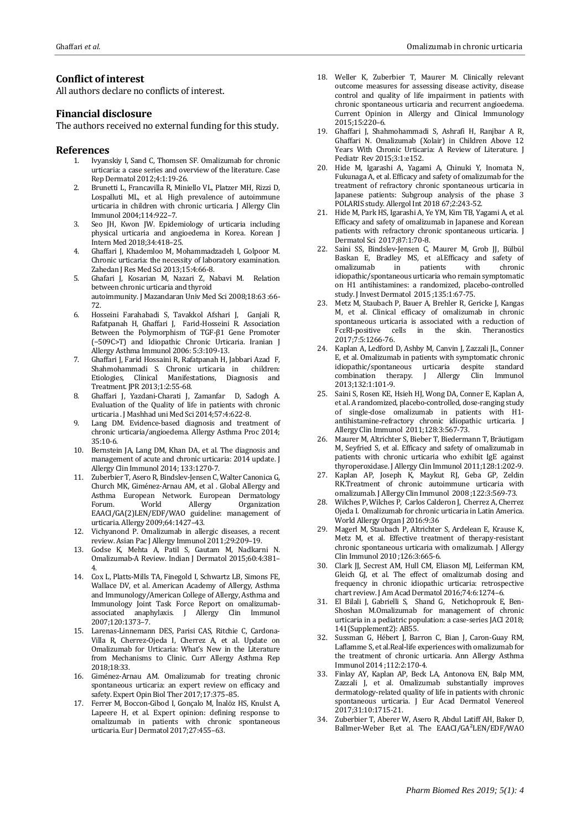#### **Conflict of interest**

All authors declare no conflicts of interest.

#### **Financial disclosure**

The authors received no external funding for this study.

#### **References**

- 1. Ivyanskiy I, Sand C, Thomsen SF. Omalizumab for chronic urticaria: a case series and overview of the literature. Case Rep Dermatol 2012;4:1:19-26.
- 2. Brunetti L, Francavilla R, Miniello VL, Platzer MH, Rizzi D, Lospalluti ML, et al. High prevalence of autoimmune urticaria in children with chronic urticaria. J Allergy Clin Immunol 2004;114:922–7.
- 3. Seo JH, Kwon JW. Epidemiology of urticaria including physical urticaria and angioedema in Korea. Korean J Intern Med 2018;34:418–25.
- 4. Ghaffari J, Khademloo M, Mohammadzadeh I, Golpoor M. Chronic urticaria: the necessity of laboratory examination. Zahedan J Res Med Sci 2013;15:4:66-8.
- 5. Ghafari J, Kosarian M, Nazari Z, Nabavi M. Relation between chronic urticaria and thyroid autoimmunity. J Mazandaran Univ Med Sci 2008;18:63 :66- 72.
- 6. Hosseini Farahabadi S, Tavakkol Afshari J, Ganjali R, Rafatpanah H, Ghaffari J, Farid-Hosseini R. Association Between the Polymorphism of TGF-β1 Gene Promoter (−509C>T) and Idiopathic Chronic Urticaria. Iranian J Allergy Asthma Immunol 2006: 5:3:109-13.
- 7. Ghaffari J, Farid Hossaini R, Rafatpanah H, Jabbari Azad F, Shahmohammadi S. Chronic urticaria in children: Etiologies, Clinical Manifestations, Diagnosis and Treatment. JPR 2013;1:2:55-68.
- 8. Ghaffari J, Yazdani-Charati J, Zamanfar D, Sadogh A. Evaluation of the Quality of life in patients with chronic urticaria . J Mashhad uni Med Sci 2014;57:4:622-8.
- 9. Lang DM. Evidence-based diagnosis and treatment of chronic urticaria/angioedema. Allergy Asthma Proc 2014; 35:10-6.
- 10. Bernstein JA, Lang DM, Khan DA, et al. The diagnosis and management of acute and chronic urticaria: 2014 update. J Allergy Clin Immunol 2014; 133:1270-7.
- 11. Zuberbier T, Asero R, Bindslev-Jensen C, Walter Canonica G, Church MK, Giménez-Arnau AM, et al . Global Allergy and Asthma European Network. European Dermatology Forum. World Allergy Organization EAACI/GA(2)LEN/EDF/WAO guideline: management of urticaria. Allergy 2009;64:1427–43.
- 12. Vichyanond P. Omalizumab in allergic diseases, a recent review. Asian Pac J Allergy Immunol 2011;29:209–19.
- 13. Godse K, Mehta A, Patil S, Gautam M, Nadkarni N. Omalizumab-A Review. Indian J Dermatol 2015;60:4:381– 4.
- 14. Cox L, Platts-Mills TA, Finegold I, Schwartz LB, Simons FE, Wallace DV, et al. American Academy of Allergy, Asthma and Immunology/American College of Allergy, Asthma and Immunology Joint Task Force Report on omalizumabassociated anaphylaxis. J Allergy Clin Immunol 2007;120:1373–7.
- 15. Larenas-Linnemann DES, Parisi CAS, Ritchie C, Cardona-Villa R, Cherrez-Ojeda I, Cherrez A, et al. Update on Omalizumab for Urticaria: What's New in the Literature from Mechanisms to Clinic. Curr Allergy Asthma Rep 2018;18:33.
- 16. Giménez-Arnau AM. Omalizumab for treating chronic spontaneous urticaria: an expert review on efficacy and safety. Expert Opin Biol Ther 2017;17:375–85.
- 17. Ferrer M, Boccon-Gibod I, Gonçalo M, İnalöz HS, Knulst A, Lapeere H, et al. Expert opinion: defining response to omalizumab in patients with chronic spontaneous urticaria. Eur J Dermatol 2017;27:455–63.
- 18. Weller K, Zuberbier T, Maurer M. Clinically relevant outcome measures for assessing disease activity, disease control and quality of life impairment in patients with chronic spontaneous urticaria and recurrent angioedema. Current Opinion in Allergy and Clinical Immunology 2015;15:220–6.
- 19. Ghaffari J, Shahmohammadi S, Ashrafi H, Ranjbar A R, Ghaffari N. Omalizumab (Xolair) in Children Above 12 Years With Chronic Urticaria: A Review of Literature. J Pediatr Rev 2015;3:1:e152.
- 20. Hide M, Igarashi A, Yagami A, Chinuki Y, Inomata N, Fukunaga A, et al. Efficacy and safety of omalizumab for the treatment of refractory chronic spontaneous urticaria in Japanese patients: Subgroup analysis of the phase 3 POLARIS study. Allergol Int 2018 67;2:243-52.
- 21. Hide M, Park HS, Igarashi A, Ye YM, Kim TB, Yagami A, et al. Efficacy and safety of omalizumab in Japanese and Korean patients with refractory chronic spontaneous urticaria. J Dermatol Sci 2017;87:1:70-8.
- 22. Saini SS, Bindslev-Jensen C, Maurer M, Grob JJ, Bülbül Baskan E, Bradley MS, et al.Efficacy and safety of omalizumab in patients with chronic omalizumab in patients with chronic idiopathic/spontaneous urticaria who remain symptomatic on H1 antihistamines: a randomized, placebo-controlled study. J Invest Dermatol 2015 ;135:1:67-75.
- 23. Metz M, Staubach P, Bauer A, Brehler R, Gericke J, Kangas M, et al. Clinical efficacy of omalizumab in chronic spontaneous urticaria is associated with a reduction of FcεRI-positive cells in the skin. Theranostics 2017;7:5:1266-76.
- 24. Kaplan A, Ledford D, Ashby M, Canvin J, Zazzali JL, Conner E, et al. Omalizumab in patients with symptomatic chronic idiopathic/spontaneous urticaria despite standard combination therapy. J Allergy Clin Immunol 2013;132:1:101-9.
- 25. Saini S, Rosen KE, Hsieh HJ, Wong DA, Conner E, Kaplan A, et al. A randomized, placebo-controlled, dose-ranging study of single-dose omalizumab in patients with H1 antihistamine-refractory chronic idiopathic urticaria. J Allergy Clin Immunol 2011;128:3:567-73.
- 26. Maurer M, Altrichter S, Bieber T, Biedermann T, Bräutigam M, Seyfried S, et al. Efficacy and safety of omalizumab in patients with chronic urticaria who exhibit IgE against thyroperoxidase. J Allergy Clin Immunol 2011;128:1:202-9.
- 27. Kaplan AP, Joseph K, Maykut RJ, Geba GP, Zeldin RK.Treatment of chronic autoimmune urticaria with omalizumab. J Allergy Clin Immunol 2008 ;122:3:569-73.
- 28. Wilches P, Wilches P, Carlos Calderon J, Cherrez A, Cherrez Ojeda I. Omalizumab for chronic urticaria in Latin America. World Allergy Organ J 2016:9:36
- 29. Magerl M, Staubach P, Altrichter S, Ardelean E, Krause K, Metz M, et al. Effective treatment of therapy-resistant chronic spontaneous urticaria with omalizumab. J Allergy Clin Immunol 2010 ;126:3:665-6.
- 30. Clark JJ, Secrest AM, Hull CM, Eliason MJ, Leiferman KM, Gleich GJ, et al. The effect of omalizumab dosing and frequency in chronic idiopathic urticaria: retrospective chart review. J Am Acad Dermatol 2016;74:6:1274–6.
- 31. El Bilali J, Gabrielli S, Shand G, Netichoprouk E, Ben-Shoshan M.Omalizumab for management of chronic urticaria in a pediatric population: a case-series JACI 2018; 141(Supplement2): AB55.
- 32. Sussman G, Hébert J, Barron C, Bian J, Caron-Guay RM, Laflamme S, et al.Real-life experiences with omalizumab for the treatment of chronic urticaria. Ann Allergy Asthma Immunol 2014 ;112:2:170-4.
- 33. Finlay AY, Kaplan AP, Beck LA, Antonova EN, Balp MM, Zazzali J, et al. Omalizumab substantially improves dermatology-related quality of life in patients with chronic spontaneous urticaria. J Eur Acad Dermatol Venereol 2017;31:10:1715-21.
- 34. Zuberbier T, Aberer W, Asero R, Abdul Latiff AH, Baker D, Ballmer-Weber B,et al. The EAACI/GA²LEN/EDF/WAO